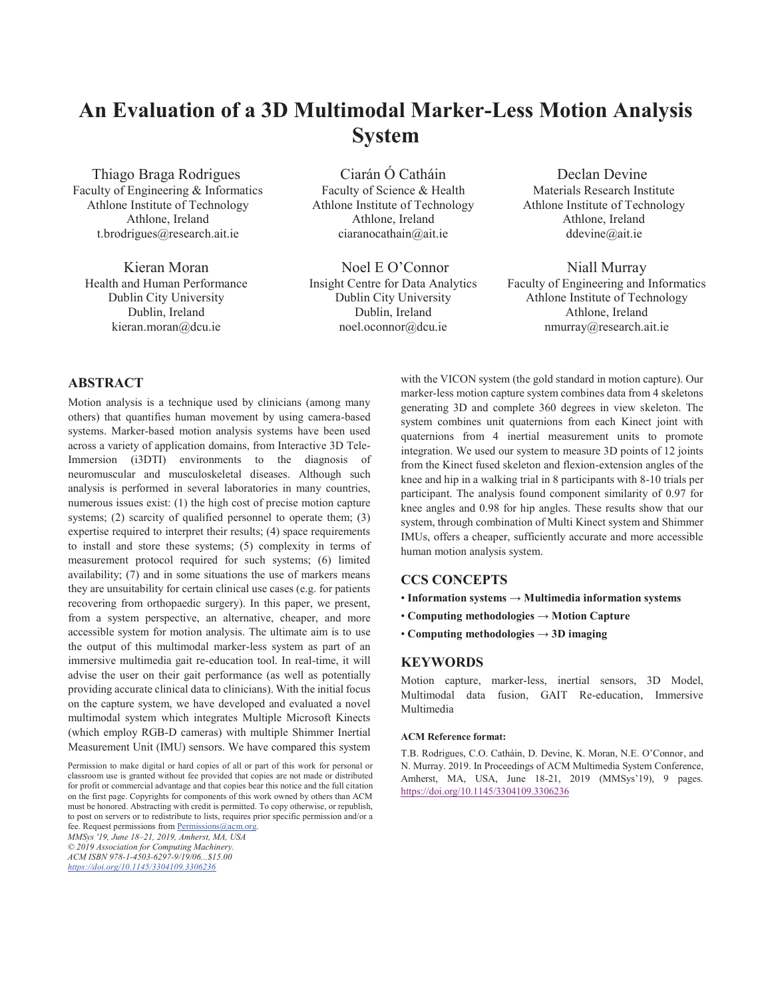# **An Evaluation of a 3D Multimodal Marker-Less Motion Analysis System**

Thiago Braga Rodrigues Faculty of Engineering & Informatics Athlone Institute of Technology Athlone, Ireland t.brodrigues@research.ait.ie

Kieran Moran Health and Human Performance Dublin City University Dublin, Ireland kieran.moran@dcu.ie

Ciarán Ó Catháin Faculty of Science & Health Athlone Institute of Technology Athlone, Ireland ciaranocathain@ait.ie

Noel E O'Connor Insight Centre for Data Analytics Dublin City University Dublin, Ireland noel.oconnor@dcu.ie

Declan Devine Materials Research Institute Athlone Institute of Technology Athlone, Ireland ddevine@ait.ie

Niall Murray Faculty of Engineering and Informatics Athlone Institute of Technology Athlone, Ireland nmurray@research.ait.ie

# **ABSTRACT**

Motion analysis is a technique used by clinicians (among many others) that quantifies human movement by using camera-based systems. Marker-based motion analysis systems have been used across a variety of application domains, from Interactive 3D Tele-Immersion (i3DTI) environments to the diagnosis of neuromuscular and musculoskeletal diseases. Although such analysis is performed in several laboratories in many countries, numerous issues exist: (1) the high cost of precise motion capture systems; (2) scarcity of qualified personnel to operate them; (3) expertise required to interpret their results; (4) space requirements to install and store these systems; (5) complexity in terms of measurement protocol required for such systems; (6) limited availability; (7) and in some situations the use of markers means they are unsuitability for certain clinical use cases (e.g. for patients recovering from orthopaedic surgery). In this paper, we present, from a system perspective, an alternative, cheaper, and more accessible system for motion analysis. The ultimate aim is to use the output of this multimodal marker-less system as part of an immersive multimedia gait re-education tool. In real-time, it will advise the user on their gait performance (as well as potentially providing accurate clinical data to clinicians). With the initial focus on the capture system, we have developed and evaluated a novel multimodal system which integrates Multiple Microsoft Kinects (which employ RGB-D cameras) with multiple Shimmer Inertial Measurement Unit (IMU) sensors. We have compared this system

Permission to make digital or hard copies of all or part of this work for personal or classroom use is granted without fee provided that copies are not made or distributed for profit or commercial advantage and that copies bear this notice and the full citation on the first page. Copyrights for components of this work owned by others than ACM must be honored. Abstracting with credit is permitted. To copy otherwise, or republish, to post on servers or to redistribute to lists, requires prior specific permission and/or a fee. Request permissions from Permissions@acm.org.

*MMSys '19, June 18–21, 2019, Amherst, MA, USA* 

*© 2019 Association for Computing Machinery. ACM ISBN 978-1-4503-6297-9/19/06...\$15.00* 

*https://doi.org/10.1145/3304109.3306236*

with the VICON system (the gold standard in motion capture). Our marker-less motion capture system combines data from 4 skeletons generating 3D and complete 360 degrees in view skeleton. The system combines unit quaternions from each Kinect joint with quaternions from 4 inertial measurement units to promote integration. We used our system to measure 3D points of 12 joints from the Kinect fused skeleton and flexion-extension angles of the knee and hip in a walking trial in 8 participants with 8-10 trials per participant. The analysis found component similarity of 0.97 for knee angles and 0.98 for hip angles. These results show that our system, through combination of Multi Kinect system and Shimmer IMUs, offers a cheaper, sufficiently accurate and more accessible human motion analysis system.

#### **CCS CONCEPTS**

- **Information systems** → **Multimedia information systems**
- **Computing methodologies** → **Motion Capture**
- **Computing methodologies** → **3D imaging**

# **KEYWORDS**

Motion capture, marker-less, inertial sensors, 3D Model, Multimodal data fusion, GAIT Re-education, Immersive Multimedia

#### **ACM Reference format:**

T.B. Rodrigues, C.O. Catháin, D. Devine, K. Moran, N.E. O'Connor, and N. Murray. 2019. In Proceedings of ACM Multimedia System Conference, Amherst, MA, USA, June 18-21, 2019 (MMSys'19), 9 pages*.* https://doi.org/10.1145/3304109.3306236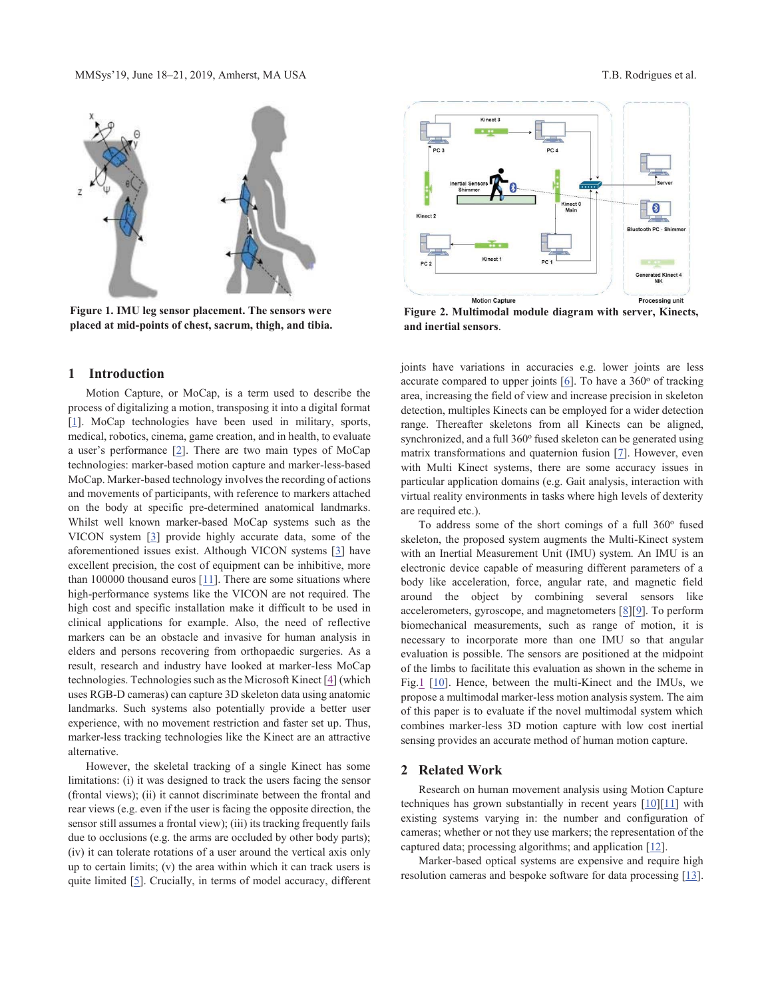

**Figure 1. IMU leg sensor placement. The sensors were placed at mid-points of chest, sacrum, thigh, and tibia.**

### **1 Introduction**

 Motion Capture, or MoCap, is a term used to describe the process of digitalizing a motion, transposing it into a digital format [1]. MoCap technologies have been used in military, sports, medical, robotics, cinema, game creation, and in health, to evaluate a user's performance [2]. There are two main types of MoCap technologies: marker-based motion capture and marker-less-based MoCap. Marker-based technology involves the recording of actions and movements of participants, with reference to markers attached on the body at specific pre-determined anatomical landmarks. Whilst well known marker-based MoCap systems such as the VICON system [3] provide highly accurate data, some of the aforementioned issues exist. Although VICON systems [3] have excellent precision, the cost of equipment can be inhibitive, more than 100000 thousand euros  $[11]$ . There are some situations where high-performance systems like the VICON are not required. The high cost and specific installation make it difficult to be used in clinical applications for example. Also, the need of reflective markers can be an obstacle and invasive for human analysis in elders and persons recovering from orthopaedic surgeries. As a result, research and industry have looked at marker-less MoCap technologies. Technologies such as the Microsoft Kinect [4] (which uses RGB-D cameras) can capture 3D skeleton data using anatomic landmarks. Such systems also potentially provide a better user experience, with no movement restriction and faster set up. Thus, marker-less tracking technologies like the Kinect are an attractive alternative.

 However, the skeletal tracking of a single Kinect has some limitations: (i) it was designed to track the users facing the sensor (frontal views); (ii) it cannot discriminate between the frontal and rear views (e.g. even if the user is facing the opposite direction, the sensor still assumes a frontal view); (iii) its tracking frequently fails due to occlusions (e.g. the arms are occluded by other body parts); (iv) it can tolerate rotations of a user around the vertical axis only up to certain limits; (v) the area within which it can track users is quite limited [5]. Crucially, in terms of model accuracy, different



**Figure 2. Multimodal module diagram with server, Kinects, and inertial sensors**.

joints have variations in accuracies e.g. lower joints are less accurate compared to upper joints  $[6]$ . To have a 360 $^{\circ}$  of tracking area, increasing the field of view and increase precision in skeleton detection, multiples Kinects can be employed for a wider detection range. Thereafter skeletons from all Kinects can be aligned, synchronized, and a full  $360^\circ$  fused skeleton can be generated using matrix transformations and quaternion fusion [7]. However, even with Multi Kinect systems, there are some accuracy issues in particular application domains (e.g. Gait analysis, interaction with virtual reality environments in tasks where high levels of dexterity are required etc.).

To address some of the short comings of a full  $360^\circ$  fused skeleton, the proposed system augments the Multi-Kinect system with an Inertial Measurement Unit (IMU) system. An IMU is an electronic device capable of measuring different parameters of a body like acceleration, force, angular rate, and magnetic field around the object by combining several sensors like accelerometers, gyroscope, and magnetometers [8][9]. To perform biomechanical measurements, such as range of motion, it is necessary to incorporate more than one IMU so that angular evaluation is possible. The sensors are positioned at the midpoint of the limbs to facilitate this evaluation as shown in the scheme in Fig.1 [10]. Hence, between the multi-Kinect and the IMUs, we propose a multimodal marker-less motion analysis system. The aim of this paper is to evaluate if the novel multimodal system which combines marker-less 3D motion capture with low cost inertial sensing provides an accurate method of human motion capture.

#### **2 Related Work**

 Research on human movement analysis using Motion Capture techniques has grown substantially in recent years  $[10][11]$  with existing systems varying in: the number and configuration of cameras; whether or not they use markers; the representation of the captured data; processing algorithms; and application [12].

 Marker-based optical systems are expensive and require high resolution cameras and bespoke software for data processing [13].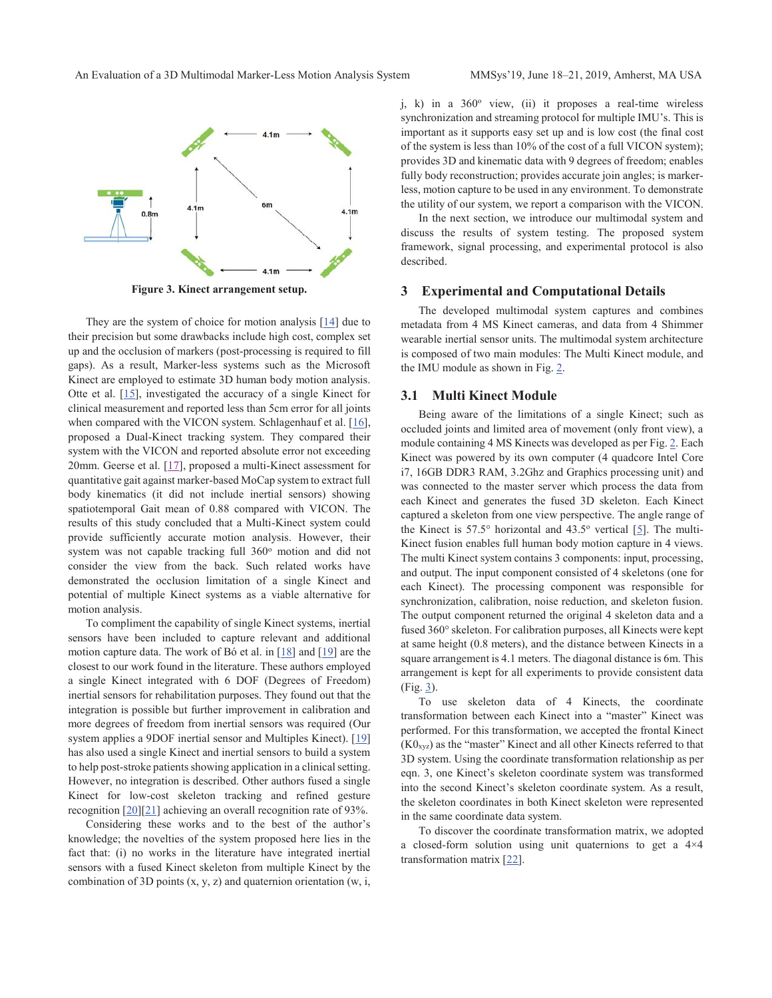

**Figure 3. Kinect arrangement setup.**

 They are the system of choice for motion analysis [14] due to their precision but some drawbacks include high cost, complex set up and the occlusion of markers (post-processing is required to fill gaps). As a result, Marker-less systems such as the Microsoft Kinect are employed to estimate 3D human body motion analysis. Otte et al. [15], investigated the accuracy of a single Kinect for clinical measurement and reported less than 5cm error for all joints when compared with the VICON system. Schlagenhauf et al. [16], proposed a Dual-Kinect tracking system. They compared their system with the VICON and reported absolute error not exceeding 20mm. Geerse et al. [17], proposed a multi-Kinect assessment for quantitative gait against marker-based MoCap system to extract full body kinematics (it did not include inertial sensors) showing spatiotemporal Gait mean of 0.88 compared with VICON. The results of this study concluded that a Multi-Kinect system could provide sufficiently accurate motion analysis. However, their system was not capable tracking full  $360^\circ$  motion and did not consider the view from the back. Such related works have demonstrated the occlusion limitation of a single Kinect and potential of multiple Kinect systems as a viable alternative for motion analysis.

 To compliment the capability of single Kinect systems, inertial sensors have been included to capture relevant and additional motion capture data. The work of Bó et al. in  $[18]$  and  $[19]$  are the closest to our work found in the literature. These authors employed a single Kinect integrated with 6 DOF (Degrees of Freedom) inertial sensors for rehabilitation purposes. They found out that the integration is possible but further improvement in calibration and more degrees of freedom from inertial sensors was required (Our system applies a 9DOF inertial sensor and Multiples Kinect). [19] has also used a single Kinect and inertial sensors to build a system to help post-stroke patients showing application in a clinical setting. However, no integration is described. Other authors fused a single Kinect for low-cost skeleton tracking and refined gesture recognition [20][21] achieving an overall recognition rate of 93%.

Considering these works and to the best of the author's knowledge; the novelties of the system proposed here lies in the fact that: (i) no works in the literature have integrated inertial sensors with a fused Kinect skeleton from multiple Kinect by the combination of 3D points  $(x, y, z)$  and quaternion orientation  $(w, i, z)$ 

j, k) in a 360° view, (ii) it proposes a real-time wireless synchronization and streaming protocol for multiple IMU's. This is important as it supports easy set up and is low cost (the final cost of the system is less than 10% of the cost of a full VICON system); provides 3D and kinematic data with 9 degrees of freedom; enables fully body reconstruction; provides accurate join angles; is markerless, motion capture to be used in any environment. To demonstrate the utility of our system, we report a comparison with the VICON.

 In the next section, we introduce our multimodal system and discuss the results of system testing. The proposed system framework, signal processing, and experimental protocol is also described.

### **3 Experimental and Computational Details**

 The developed multimodal system captures and combines metadata from 4 MS Kinect cameras, and data from 4 Shimmer wearable inertial sensor units. The multimodal system architecture is composed of two main modules: The Multi Kinect module, and the IMU module as shown in Fig. 2.

#### **3.1 Multi Kinect Module**

 Being aware of the limitations of a single Kinect; such as occluded joints and limited area of movement (only front view), a module containing 4 MS Kinects was developed as per Fig. 2. Each Kinect was powered by its own computer (4 quadcore Intel Core i7, 16GB DDR3 RAM, 3.2Ghz and Graphics processing unit) and was connected to the master server which process the data from each Kinect and generates the fused 3D skeleton. Each Kinect captured a skeleton from one view perspective. The angle range of the Kinect is  $57.5^{\circ}$  horizontal and  $43.5^{\circ}$  vertical [5]. The multi-Kinect fusion enables full human body motion capture in 4 views. The multi Kinect system contains 3 components: input, processing, and output. The input component consisted of 4 skeletons (one for each Kinect). The processing component was responsible for synchronization, calibration, noise reduction, and skeleton fusion. The output component returned the original 4 skeleton data and a fused 360° skeleton. For calibration purposes, all Kinects were kept at same height (0.8 meters), and the distance between Kinects in a square arrangement is 4.1 meters. The diagonal distance is 6m. This arrangement is kept for all experiments to provide consistent data  $(Fig. 3)$ .

 To use skeleton data of 4 Kinects, the coordinate transformation between each Kinect into a "master" Kinect was performed. For this transformation, we accepted the frontal Kinect  $(K0<sub>xyz</sub>)$  as the "master" Kinect and all other Kinects referred to that 3D system. Using the coordinate transformation relationship as per eqn. 3, one Kinect's skeleton coordinate system was transformed into the second Kinect's skeleton coordinate system. As a result, the skeleton coordinates in both Kinect skeleton were represented in the same coordinate data system.

 To discover the coordinate transformation matrix, we adopted a closed-form solution using unit quaternions to get a 4×4 transformation matrix [22].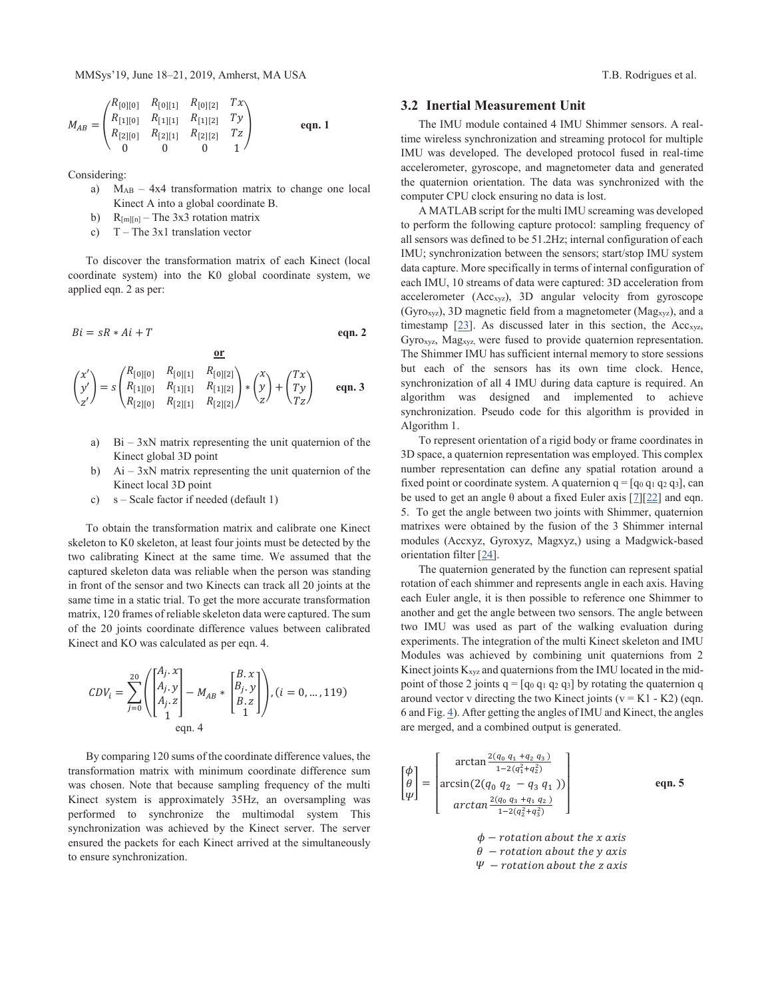MMSys'19, June 18–21, 2019, Amherst, MA USA T.B. Rodrigues et al.

$$
M_{AB} = \begin{pmatrix} R_{[0][0]} & R_{[0][1]} & R_{[0][2]} & Tx \\ R_{[1][0]} & R_{[1][1]} & R_{[1][2]} & Ty \\ R_{[2][0]} & R_{[2][1]} & R_{[2][2]} & Tz \\ 0 & 0 & 0 & 1 \end{pmatrix} \qquad \text{eqn. 1}
$$

Considering:

- a) MAB 4x4 transformation matrix to change one local Kinect A into a global coordinate B.
- b)  $R_{[m][n]}$  The 3x3 rotation matrix
- c)  $T The 3x1 translation vector$

 To discover the transformation matrix of each Kinect (local coordinate system) into the K0 global coordinate system, we applied eqn. 2 as per:

$$
Bi = sR * Ai + T
$$
 eqn. 2

$$
\begin{pmatrix} x' \\ y' \\ z' \end{pmatrix} = s \begin{pmatrix} R_{[0][0]} & R_{[0][1]} & R_{[0][2]} \\ R_{[1][0]} & R_{[1][1]} & R_{[1][2]} \\ R_{[2][0]} & R_{[2][1]} & R_{[2][2]} \end{pmatrix} * \begin{pmatrix} x \\ y \\ z \end{pmatrix} + \begin{pmatrix} Tx \\ Ty \\ Tz \end{pmatrix} \qquad \text{eqn. 3}
$$

- a) Bi  $3xN$  matrix representing the unit quaternion of the Kinect global 3D point
- b) Ai 3xN matrix representing the unit quaternion of the Kinect local 3D point
- c) s Scale factor if needed (default 1)

 To obtain the transformation matrix and calibrate one Kinect skeleton to K0 skeleton, at least four joints must be detected by the two calibrating Kinect at the same time. We assumed that the captured skeleton data was reliable when the person was standing in front of the sensor and two Kinects can track all 20 joints at the same time in a static trial. To get the more accurate transformation matrix, 120 frames of reliable skeleton data were captured. The sum of the 20 joints coordinate difference values between calibrated Kinect and KO was calculated as per eqn. 4.

$$
CDV_i = \sum_{j=0}^{20} \left( \begin{bmatrix} A_j \cdot x \\ A_j \cdot y \\ A_j \cdot z \\ 1 \end{bmatrix} - M_{AB} * \begin{bmatrix} B \cdot x \\ B_j \cdot y \\ B \cdot z \\ 1 \end{bmatrix} \right), (i = 0, ..., 119)
$$
  
eqn. 4

 By comparing 120 sums of the coordinate difference values, the transformation matrix with minimum coordinate difference sum was chosen. Note that because sampling frequency of the multi Kinect system is approximately 35Hz, an oversampling was performed to synchronize the multimodal system This synchronization was achieved by the Kinect server. The server ensured the packets for each Kinect arrived at the simultaneously to ensure synchronization.

# **3.2 Inertial Measurement Unit**

 The IMU module contained 4 IMU Shimmer sensors. A realtime wireless synchronization and streaming protocol for multiple IMU was developed. The developed protocol fused in real-time accelerometer, gyroscope, and magnetometer data and generated the quaternion orientation. The data was synchronized with the computer CPU clock ensuring no data is lost.

 A MATLAB script for the multi IMU screaming was developed to perform the following capture protocol: sampling frequency of all sensors was defined to be 51.2Hz; internal configuration of each IMU; synchronization between the sensors; start/stop IMU system data capture. More specifically in terms of internal configuration of each IMU, 10 streams of data were captured: 3D acceleration from accelerometer (Accxyz), 3D angular velocity from gyroscope (Gyro<sub>xyz</sub>), 3D magnetic field from a magnetometer ( $Mag<sub>xyz</sub>$ ), and a timestamp  $[23]$ . As discussed later in this section, the Acc<sub>xyz</sub>, Gyroxyz, Magxyz, were fused to provide quaternion representation. The Shimmer IMU has sufficient internal memory to store sessions but each of the sensors has its own time clock. Hence, synchronization of all 4 IMU during data capture is required. An algorithm was designed and implemented to achieve synchronization. Pseudo code for this algorithm is provided in Algorithm 1.

 To represent orientation of a rigid body or frame coordinates in 3D space, a quaternion representation was employed. This complex number representation can define any spatial rotation around a fixed point or coordinate system. A quaternion  $q = [q_0 q_1 q_2 q_3]$ , can be used to get an angle  $\theta$  about a fixed Euler axis [7][22] and eqn. 5. To get the angle between two joints with Shimmer, quaternion matrixes were obtained by the fusion of the 3 Shimmer internal modules (Accxyz, Gyroxyz, Magxyz,) using a Madgwick-based orientation filter [24].

 The quaternion generated by the function can represent spatial rotation of each shimmer and represents angle in each axis. Having each Euler angle, it is then possible to reference one Shimmer to another and get the angle between two sensors. The angle between two IMU was used as part of the walking evaluation during experiments. The integration of the multi Kinect skeleton and IMU Modules was achieved by combining unit quaternions from 2 Kinect joints Kxyz and quaternions from the IMU located in the midpoint of those 2 joints  $q = [q_0 q_1 q_2 q_3]$  by rotating the quaternion q around vector v directing the two Kinect joints ( $v = K1 - K2$ ) (eqn. 6 and Fig. 4). After getting the angles of IMU and Kinect, the angles are merged, and a combined output is generated.

$$
\begin{bmatrix}\n\phi \\
\theta \\
\psi\n\end{bmatrix} = \begin{bmatrix}\n\arctan \frac{2(q_0 q_1 + q_2 q_3)}{1 - 2(q_1^2 + q_2^2)} \\
\arcsin(2(q_0 q_2 - q_3 q_1)) \\
\arctan \frac{2(q_0 q_3 + q_1 q_2)}{1 - 2(q_2^2 + q_3^2)}\n\end{bmatrix}
$$
\neqn. 5  
\n
$$
\phi - \text{rotation about the } x \text{ axis}
$$
\n
$$
\theta - \text{rotation about the } y \text{ axis}
$$

 $\Psi$  – rotation about the z axis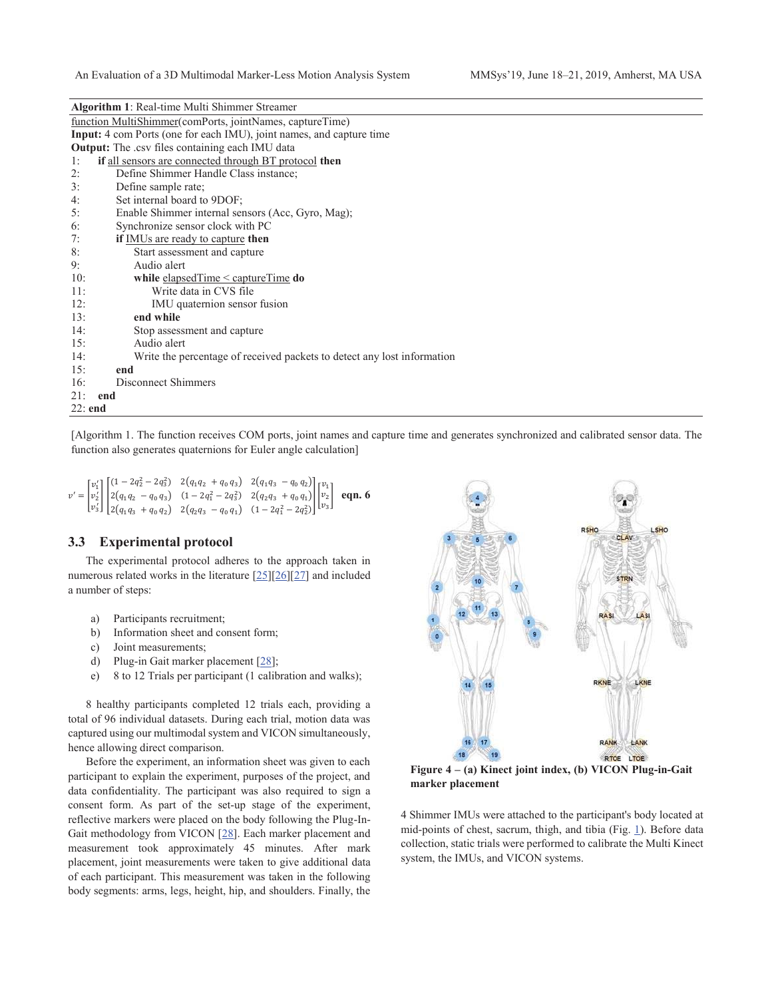| Algorithm 1: Real-time Multi Shimmer Streamer |  |  |  |  |  |
|-----------------------------------------------|--|--|--|--|--|
|-----------------------------------------------|--|--|--|--|--|

| function MultiShimmer(comPorts, jointNames, captureTime)                       |  |  |  |  |
|--------------------------------------------------------------------------------|--|--|--|--|
| <b>Input:</b> 4 com Ports (one for each IMU), joint names, and capture time    |  |  |  |  |
| <b>Output:</b> The .csv files containing each IMU data                         |  |  |  |  |
| if all sensors are connected through BT protocol then<br>1:                    |  |  |  |  |
| 2:<br>Define Shimmer Handle Class instance;                                    |  |  |  |  |
| 3:<br>Define sample rate;                                                      |  |  |  |  |
| 4:<br>Set internal board to 9DOF;                                              |  |  |  |  |
| 5:<br>Enable Shimmer internal sensors (Acc, Gyro, Mag);                        |  |  |  |  |
| 6:<br>Synchronize sensor clock with PC                                         |  |  |  |  |
| 7:<br><b>if</b> IMUs are ready to capture then                                 |  |  |  |  |
| 8:<br>Start assessment and capture                                             |  |  |  |  |
| 9:<br>Audio alert                                                              |  |  |  |  |
| 10:<br>while elapsed $Time <$ capture $Time$ do                                |  |  |  |  |
| Write data in CVS file<br>11:                                                  |  |  |  |  |
| 12:<br>IMU quaternion sensor fusion                                            |  |  |  |  |
| 13:<br>end while                                                               |  |  |  |  |
| 14:<br>Stop assessment and capture                                             |  |  |  |  |
| Audio alert<br>15:                                                             |  |  |  |  |
| 14:<br>Write the percentage of received packets to detect any lost information |  |  |  |  |
| 15:<br>end                                                                     |  |  |  |  |
| Disconnect Shimmers<br>16:                                                     |  |  |  |  |
| 21:<br>end                                                                     |  |  |  |  |
| 22: end                                                                        |  |  |  |  |

[Algorithm 1. The function receives COM ports, joint names and capture time and generates synchronized and calibrated sensor data. The function also generates quaternions for Euler angle calculation]

$$
v' = \begin{bmatrix} v_1' \\ v_2' \\ v_3' \end{bmatrix} \begin{bmatrix} (1 - 2q_2^2 - 2q_3^2) & 2(q_1q_2 + q_0q_3) & 2(q_1q_3 - q_0q_2) \\ 2(q_1q_2 - q_0q_3) & (1 - 2q_1^2 - 2q_3^2) & 2(q_2q_3 + q_0q_1) \\ 2(q_1q_3 + q_0q_2) & 2(q_2q_3 - q_0q_1) & (1 - 2q_1^2 - 2q_2^2) \end{bmatrix} \begin{bmatrix} v_1 \\ v_2 \\ v_3 \end{bmatrix} \text{ eqn. 6}
$$

#### **3.3 Experimental protocol**

 The experimental protocol adheres to the approach taken in numerous related works in the literature [25][26][27] and included a number of steps:

- a) Participants recruitment;
- b) Information sheet and consent form;
- c) Joint measurements;
- d) Plug-in Gait marker placement [28];
- e) 8 to 12 Trials per participant (1 calibration and walks);

 8 healthy participants completed 12 trials each, providing a total of 96 individual datasets. During each trial, motion data was captured using our multimodal system and VICON simultaneously, hence allowing direct comparison.

 Before the experiment, an information sheet was given to each participant to explain the experiment, purposes of the project, and data confidentiality. The participant was also required to sign a consent form. As part of the set-up stage of the experiment, reflective markers were placed on the body following the Plug-In-Gait methodology from VICON [28]. Each marker placement and measurement took approximately 45 minutes. After mark placement, joint measurements were taken to give additional data of each participant. This measurement was taken in the following body segments: arms, legs, height, hip, and shoulders. Finally, the



**Figure 4 – (a) Kinect joint index, (b) VICON Plug-in-Gait marker placement**

4 Shimmer IMUs were attached to the participant's body located at mid-points of chest, sacrum, thigh, and tibia (Fig. 1). Before data collection, static trials were performed to calibrate the Multi Kinect system, the IMUs, and VICON systems.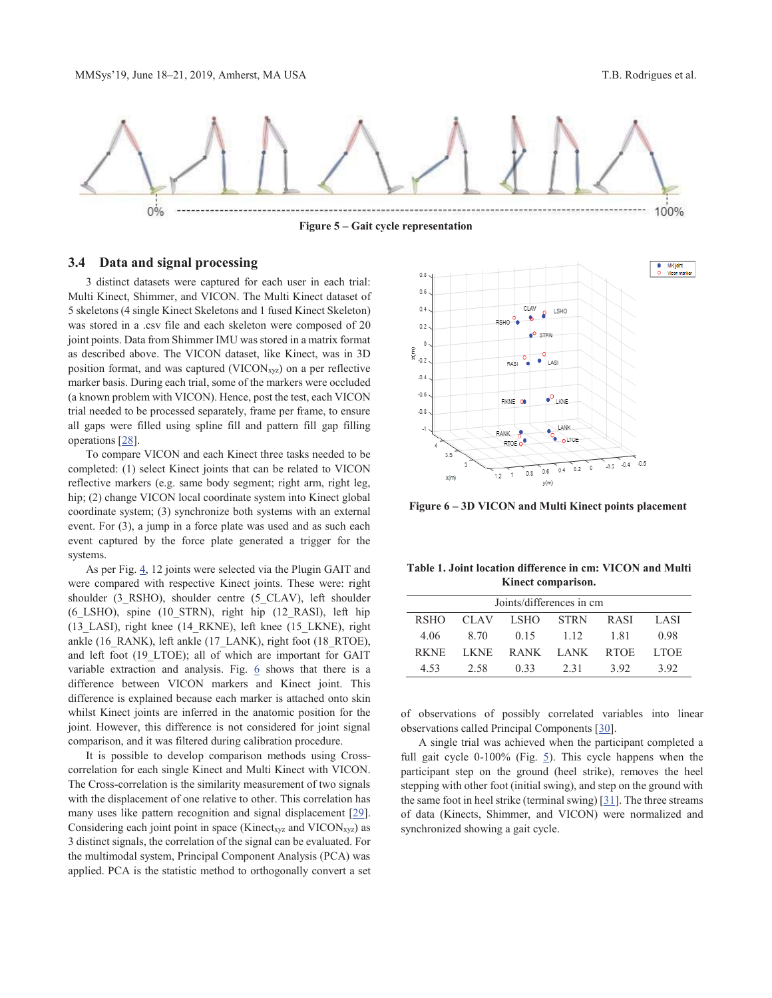

**Figure 5 – Gait cycle representation** 

# **3.4 Data and signal processing**

 3 distinct datasets were captured for each user in each trial: Multi Kinect, Shimmer, and VICON. The Multi Kinect dataset of 5 skeletons (4 single Kinect Skeletons and 1 fused Kinect Skeleton) was stored in a .csv file and each skeleton were composed of 20 joint points. Data from Shimmer IMU was stored in a matrix format as described above. The VICON dataset, like Kinect, was in 3D position format, and was captured ( $VICON<sub>xyz</sub>$ ) on a per reflective marker basis. During each trial, some of the markers were occluded (a known problem with VICON). Hence, post the test, each VICON trial needed to be processed separately, frame per frame, to ensure all gaps were filled using spline fill and pattern fill gap filling operations [28].

 To compare VICON and each Kinect three tasks needed to be completed: (1) select Kinect joints that can be related to VICON reflective markers (e.g. same body segment; right arm, right leg, hip; (2) change VICON local coordinate system into Kinect global coordinate system; (3) synchronize both systems with an external event. For (3), a jump in a force plate was used and as such each event captured by the force plate generated a trigger for the systems.

 As per Fig. 4, 12 joints were selected via the Plugin GAIT and were compared with respective Kinect joints. These were: right shoulder (3\_RSHO), shoulder centre (5\_CLAV), left shoulder (6\_LSHO), spine (10\_STRN), right hip (12\_RASI), left hip (13\_LASI), right knee (14\_RKNE), left knee (15\_LKNE), right ankle (16\_RANK), left ankle (17\_LANK), right foot (18\_RTOE), and left foot (19\_LTOE); all of which are important for GAIT variable extraction and analysis. Fig.  $6$  shows that there is a difference between VICON markers and Kinect joint. This difference is explained because each marker is attached onto skin whilst Kinect joints are inferred in the anatomic position for the joint. However, this difference is not considered for joint signal comparison, and it was filtered during calibration procedure.

 It is possible to develop comparison methods using Crosscorrelation for each single Kinect and Multi Kinect with VICON. The Cross-correlation is the similarity measurement of two signals with the displacement of one relative to other. This correlation has many uses like pattern recognition and signal displacement [29]. Considering each joint point in space (Kinect<sub>xyz</sub> and VICON<sub>xyz</sub>) as 3 distinct signals, the correlation of the signal can be evaluated. For the multimodal system, Principal Component Analysis (PCA) was applied. PCA is the statistic method to orthogonally convert a set



**Figure 6 – 3D VICON and Multi Kinect points placement**

**Table 1. Joint location difference in cm: VICON and Multi Kinect comparison.**

| Joints/differences in cm |           |      |                |        |             |  |
|--------------------------|-----------|------|----------------|--------|-------------|--|
| <b>RSHO</b>              | CLAV LSHO |      | <b>STRN</b>    | R ASI  | LASI        |  |
| 4.06                     | 8.70      | 0.15 | 1.12           | - 1.81 | 0.98        |  |
| RKNE.                    | LKNE –    |      | RANK LANK RTOE |        | <b>LTOE</b> |  |
| 4.53                     | 2.58      | 0.33 | 2.31           | 392    | 392         |  |

of observations of possibly correlated variables into linear observations called Principal Components [30].

 A single trial was achieved when the participant completed a full gait cycle 0-100% (Fig. 5). This cycle happens when the participant step on the ground (heel strike), removes the heel stepping with other foot (initial swing), and step on the ground with the same foot in heel strike (terminal swing) [31]. The three streams of data (Kinects, Shimmer, and VICON) were normalized and synchronized showing a gait cycle.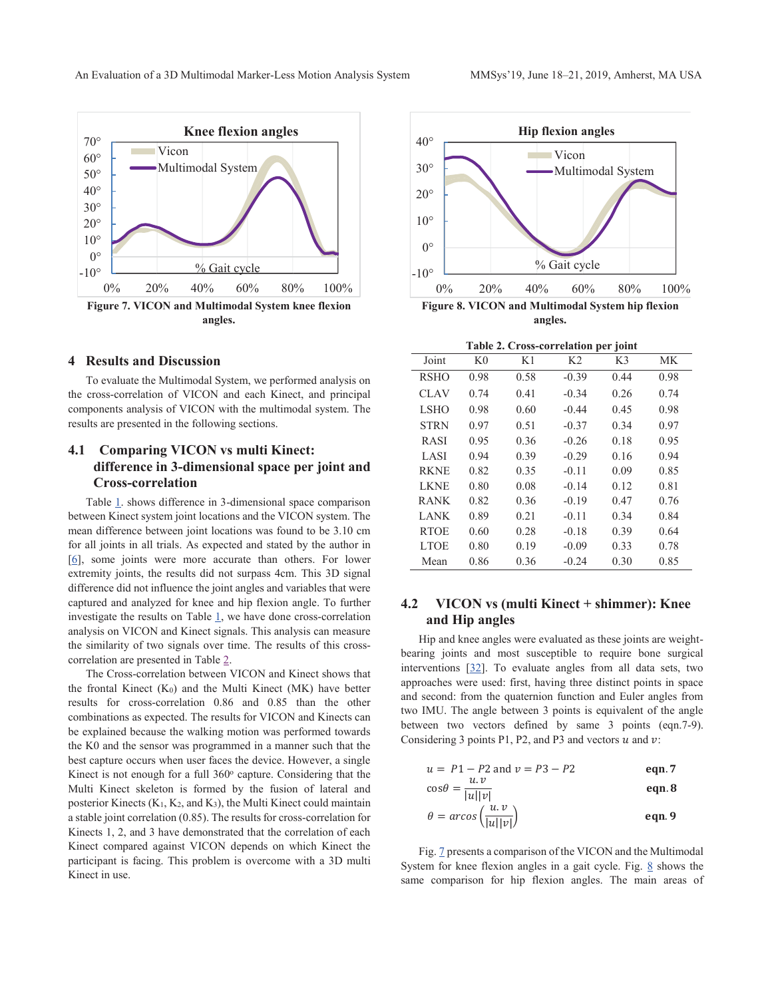

# **4 Results and Discussion**

To evaluate the Multimodal System, we performed analysis on the cross-correlation of VICON and each Kinect, and principal components analysis of VICON with the multimodal system. The results are presented in the following sections.

# **4.1 Comparing VICON vs multi Kinect: difference in 3-dimensional space per joint and Cross-correlation**

Table 1. shows difference in 3-dimensional space comparison between Kinect system joint locations and the VICON system. The mean difference between joint locations was found to be 3.10 cm for all joints in all trials. As expected and stated by the author in [6], some joints were more accurate than others. For lower extremity joints, the results did not surpass 4cm. This 3D signal difference did not influence the joint angles and variables that were captured and analyzed for knee and hip flexion angle. To further investigate the results on Table  $\underline{1}$ , we have done cross-correlation analysis on VICON and Kinect signals. This analysis can measure the similarity of two signals over time. The results of this crosscorrelation are presented in Table 2.

The Cross-correlation between VICON and Kinect shows that the frontal Kinect  $(K_0)$  and the Multi Kinect  $(MK)$  have better results for cross-correlation 0.86 and 0.85 than the other combinations as expected. The results for VICON and Kinects can be explained because the walking motion was performed towards the K0 and the sensor was programmed in a manner such that the best capture occurs when user faces the device. However, a single Kinect is not enough for a full  $360^\circ$  capture. Considering that the Multi Kinect skeleton is formed by the fusion of lateral and posterior Kinects (K1, K2, and K3), the Multi Kinect could maintain a stable joint correlation (0.85). The results for cross-correlation for Kinects 1, 2, and 3 have demonstrated that the correlation of each Kinect compared against VICON depends on which Kinect the participant is facing. This problem is overcome with a 3D multi Kinect in use.



**Table 2. Cross-correlation per joint** 

|             |                |      |                | ×.<br>J |      |
|-------------|----------------|------|----------------|---------|------|
| Joint       | K <sub>0</sub> | K1   | K <sub>2</sub> | K3      | МK   |
| <b>RSHO</b> | 0.98           | 0.58 | $-0.39$        | 0.44    | 0.98 |
| <b>CLAV</b> | 0.74           | 0.41 | $-0.34$        | 0.26    | 0.74 |
| <b>LSHO</b> | 0.98           | 0.60 | $-0.44$        | 0.45    | 0.98 |
| <b>STRN</b> | 0.97           | 0.51 | $-0.37$        | 0.34    | 0.97 |
| <b>RASI</b> | 0.95           | 0.36 | $-0.26$        | 0.18    | 0.95 |
| LASI        | 0.94           | 0.39 | $-0.29$        | 0.16    | 0.94 |
| <b>RKNE</b> | 0.82           | 0.35 | $-0.11$        | 0.09    | 0.85 |
| <b>LKNE</b> | 0.80           | 0.08 | $-0.14$        | 0.12    | 0.81 |
| <b>RANK</b> | 0.82           | 0.36 | $-0.19$        | 0.47    | 0.76 |
| LANK        | 0.89           | 0.21 | $-0.11$        | 0.34    | 0.84 |
| <b>RTOE</b> | 0.60           | 0.28 | $-0.18$        | 0.39    | 0.64 |
| <b>LTOE</b> | 0.80           | 0.19 | $-0.09$        | 0.33    | 0.78 |
| Mean        | 0.86           | 0.36 | $-0.24$        | 0.30    | 0.85 |

# **4.2 VICON vs (multi Kinect + shimmer): Knee and Hip angles**

 Hip and knee angles were evaluated as these joints are weightbearing joints and most susceptible to require bone surgical interventions [32]. To evaluate angles from all data sets, two approaches were used: first, having three distinct points in space and second: from the quaternion function and Euler angles from two IMU. The angle between 3 points is equivalent of the angle between two vectors defined by same 3 points (eqn.7-9). Considering 3 points P1, P2, and P3 and vectors  $u$  and  $v$ :

$$
u = P1 - P2 \text{ and } v = P3 - P2
$$
  
\n
$$
\cos\theta = \frac{u \cdot v}{|u||v|}
$$
 eqn.8

$$
\theta = \arccos\left(\frac{u \cdot v}{|u||v|}\right) \qquad \text{eqn.9}
$$

 Fig. 7 presents a comparison of the VICON and the Multimodal System for knee flexion angles in a gait cycle. Fig.  $8$  shows the same comparison for hip flexion angles. The main areas of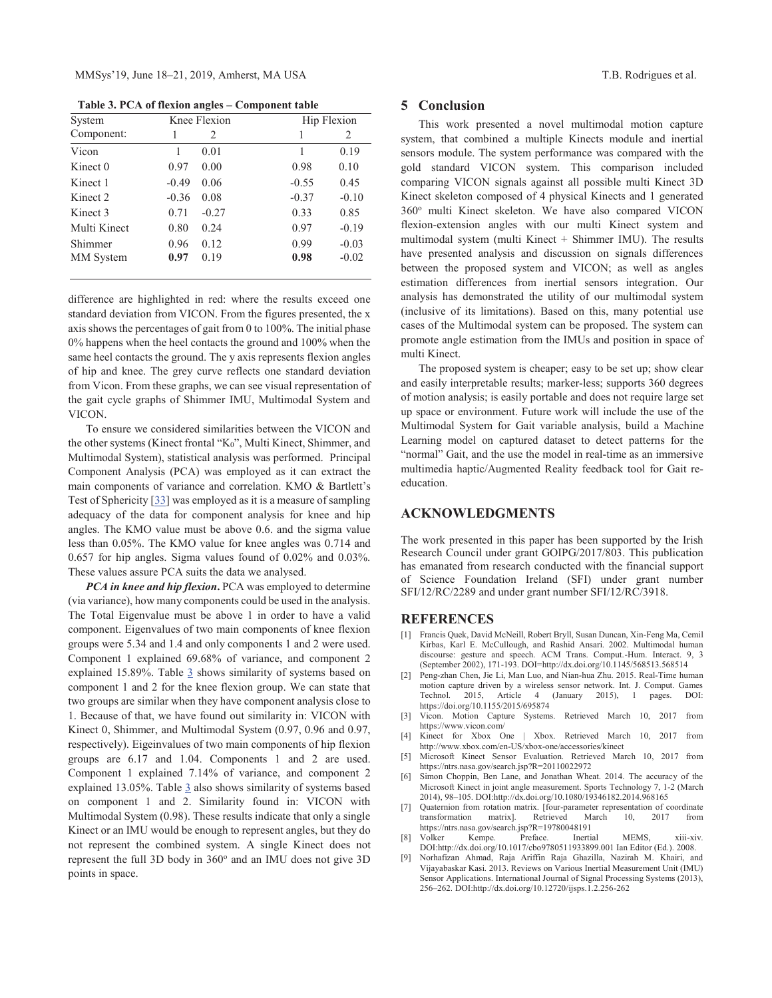**Table 3. PCA of flexion angles – Component table** 

| System              | Knee Flexion |         |         | Hip Flexion |  |
|---------------------|--------------|---------|---------|-------------|--|
| Component:          | 1            | 2       | 1       | 2           |  |
| Vicon               | 1            | 0.01    |         | 0.19        |  |
| Kinect 0            | 0.97         | 0.00    | 0.98    | 0.10        |  |
| Kinect 1            | $-0.49$      | 0.06    | $-0.55$ | 0.45        |  |
| Kinect 2            | $-0.36$      | 0.08    | $-0.37$ | $-0.10$     |  |
| Kinect <sub>3</sub> | 0.71         | $-0.27$ | 0.33    | 0.85        |  |
| Multi Kinect        | 0.80         | 0.24    | 0.97    | $-0.19$     |  |
| Shimmer             | 0.96         | 0.12    | 0.99    | $-0.03$     |  |
| MM System           | 0.97         | 0.19    | 0.98    | $-0.02$     |  |

difference are highlighted in red: where the results exceed one standard deviation from VICON. From the figures presented, the x axis shows the percentages of gait from 0 to 100%. The initial phase 0% happens when the heel contacts the ground and 100% when the same heel contacts the ground. The y axis represents flexion angles of hip and knee. The grey curve reflects one standard deviation from Vicon. From these graphs, we can see visual representation of the gait cycle graphs of Shimmer IMU, Multimodal System and VICON.

 To ensure we considered similarities between the VICON and the other systems (Kinect frontal "K0", Multi Kinect, Shimmer, and Multimodal System), statistical analysis was performed. Principal Component Analysis (PCA) was employed as it can extract the main components of variance and correlation. KMO & Bartlett's Test of Sphericity [33] was employed as it is a measure of sampling adequacy of the data for component analysis for knee and hip angles. The KMO value must be above 0.6. and the sigma value less than 0.05%. The KMO value for knee angles was 0.714 and 0.657 for hip angles. Sigma values found of 0.02% and 0.03%. These values assure PCA suits the data we analysed.

 *PCA in knee and hip flexion***.** PCA was employed to determine (via variance), how many components could be used in the analysis. The Total Eigenvalue must be above 1 in order to have a valid component. Eigenvalues of two main components of knee flexion groups were 5.34 and 1.4 and only components 1 and 2 were used. Component 1 explained 69.68% of variance, and component 2 explained 15.89%. Table  $\frac{3}{2}$  shows similarity of systems based on component 1 and 2 for the knee flexion group. We can state that two groups are similar when they have component analysis close to 1. Because of that, we have found out similarity in: VICON with Kinect 0, Shimmer, and Multimodal System (0.97, 0.96 and 0.97, respectively). Eigeinvalues of two main components of hip flexion groups are 6.17 and 1.04. Components 1 and 2 are used. Component 1 explained 7.14% of variance, and component 2 explained 13.05%. Table 3 also shows similarity of systems based on component 1 and 2. Similarity found in: VICON with Multimodal System (0.98). These results indicate that only a single Kinect or an IMU would be enough to represent angles, but they do not represent the combined system. A single Kinect does not represent the full 3D body in 360° and an IMU does not give 3D points in space.

#### **5 Conclusion**

 This work presented a novel multimodal motion capture system, that combined a multiple Kinects module and inertial sensors module. The system performance was compared with the gold standard VICON system. This comparison included comparing VICON signals against all possible multi Kinect 3D Kinect skeleton composed of 4 physical Kinects and 1 generated 360<sup>o</sup> multi Kinect skeleton. We have also compared VICON flexion-extension angles with our multi Kinect system and multimodal system (multi Kinect + Shimmer IMU). The results have presented analysis and discussion on signals differences between the proposed system and VICON; as well as angles estimation differences from inertial sensors integration. Our analysis has demonstrated the utility of our multimodal system (inclusive of its limitations). Based on this, many potential use cases of the Multimodal system can be proposed. The system can promote angle estimation from the IMUs and position in space of multi Kinect.

 The proposed system is cheaper; easy to be set up; show clear and easily interpretable results; marker-less; supports 360 degrees of motion analysis; is easily portable and does not require large set up space or environment. Future work will include the use of the Multimodal System for Gait variable analysis, build a Machine Learning model on captured dataset to detect patterns for the "normal" Gait, and the use the model in real-time as an immersive multimedia haptic/Augmented Reality feedback tool for Gait reeducation.

## **ACKNOWLEDGMENTS**

The work presented in this paper has been supported by the Irish Research Council under grant GOIPG/2017/803. This publication has emanated from research conducted with the financial support of Science Foundation Ireland (SFI) under grant number SFI/12/RC/2289 and under grant number SFI/12/RC/3918.

#### **REFERENCES**

- [1] Francis Quek, David McNeill, Robert Bryll, Susan Duncan, Xin-Feng Ma, Cemil Kirbas, Karl E. McCullough, and Rashid Ansari. 2002. Multimodal human discourse: gesture and speech. ACM Trans. Comput.-Hum. Interact. 9, 3 (September 2002), 171-193. DOI=http://dx.doi.org/10.1145/568513.568514
- [2] Peng-zhan Chen, Jie Li, Man Luo, and Nian-hua Zhu. 2015. Real-Time human motion capture driven by a wireless sensor network. Int. J. Comput. Games Technol. 2015, Article 4 (January 2015), 1 pages. DOI: https://doi.org/10.1155/2015/695874
- [3] Vicon. Motion Capture Systems. Retrieved March 10, 2017 from https://www.vicon.com/
- [4] Kinect for Xbox One | Xbox. Retrieved March 10, 2017 from http://www.xbox.com/en-US/xbox-one/accessories/kinect
- [5] Microsoft Kinect Sensor Evaluation. Retrieved March 10, 2017 from https://ntrs.nasa.gov/search.jsp?R=20110022972
- [6] Simon Choppin, Ben Lane, and Jonathan Wheat. 2014. The accuracy of the Microsoft Kinect in joint angle measurement. Sports Technology 7, 1-2 (March 2014), 98–105. DOI:http://dx.doi.org/10.1080/19346182.2014.968165
- Quaternion from rotation matrix. [four-parameter representation of coordinate transformation matrix]. Retrieved March 10, 2017 from https://ntrs.nasa.gov/search.jsp?R=19780048191<br>Volker Kempe. Preface. Inertial
- [8] Volker Kempe. Preface. Inertial MEMS, xiii-xiv. DOI:http://dx.doi.org/10.1017/cbo9780511933899.001 Ian Editor (Ed.). 2008.
- [9] Norhafizan Ahmad, Raja Ariffin Raja Ghazilla, Nazirah M. Khairi, and Vijayabaskar Kasi. 2013. Reviews on Various Inertial Measurement Unit (IMU) Sensor Applications. International Journal of Signal Processing Systems (2013), 256–262. DOI:http://dx.doi.org/10.12720/ijsps.1.2.256-262